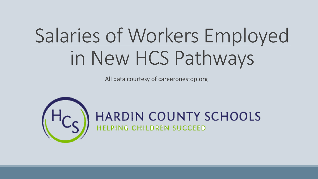# Salaries of Workers Employed in New HCS Pathways

All data courtesy of careeronestop.org

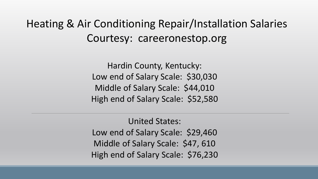Heating & Air Conditioning Repair/Installation Salaries Courtesy: careeronestop.org

> Hardin County, Kentucky: Low end of Salary Scale: \$30,030 Middle of Salary Scale: \$44,010 High end of Salary Scale: \$52,580

> United States: Low end of Salary Scale: \$29,460 Middle of Salary Scale: \$47, 610 High end of Salary Scale: \$76,230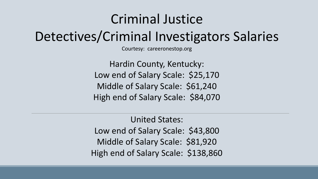### Criminal Justice

Detectives/Criminal Investigators Salaries

Courtesy: careeronestop.org

Hardin County, Kentucky: Low end of Salary Scale: \$25,170 Middle of Salary Scale: \$61,240 High end of Salary Scale: \$84,070

United States: Low end of Salary Scale: \$43,800 Middle of Salary Scale: \$81,920 High end of Salary Scale: \$138,860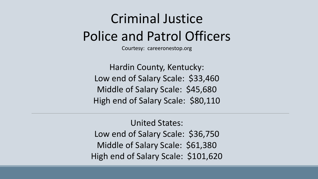### Criminal Justice Police and Patrol Officers

Courtesy: careeronestop.org

Hardin County, Kentucky: Low end of Salary Scale: \$33,460 Middle of Salary Scale: \$45,680 High end of Salary Scale: \$80,110

United States: Low end of Salary Scale: \$36,750 Middle of Salary Scale: \$61,380 High end of Salary Scale: \$101,620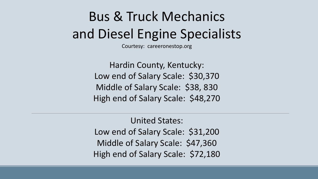## Bus & Truck Mechanics and Diesel Engine Specialists

Courtesy: careeronestop.org

Hardin County, Kentucky: Low end of Salary Scale: \$30,370 Middle of Salary Scale: \$38, 830 High end of Salary Scale: \$48,270

United States: Low end of Salary Scale: \$31,200 Middle of Salary Scale: \$47,360 High end of Salary Scale: \$72,180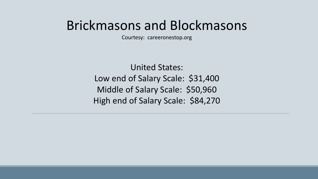#### Brickmasons and Blockmasons

Courtesy: careeronestop.org

United States: Low end of Salary Scale: \$31,400 Middle of Salary Scale: \$50,960 High end of Salary Scale: \$84,270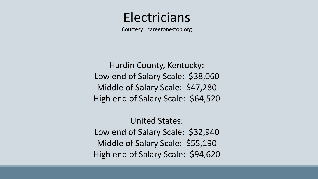#### Electricians

Courtesy: careeronestop.org

Hardin County, Kentucky: Low end of Salary Scale: \$38,060 Middle of Salary Scale: \$47,280 High end of Salary Scale: \$64,520

United States: Low end of Salary Scale: \$32,940 Middle of Salary Scale: \$55,190 High end of Salary Scale: \$94,620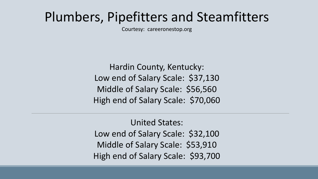### Plumbers, Pipefitters and Steamfitters

Courtesy: careeronestop.org

Hardin County, Kentucky: Low end of Salary Scale: \$37,130 Middle of Salary Scale: \$56,560 High end of Salary Scale: \$70,060

United States: Low end of Salary Scale: \$32,100 Middle of Salary Scale: \$53,910 High end of Salary Scale: \$93,700